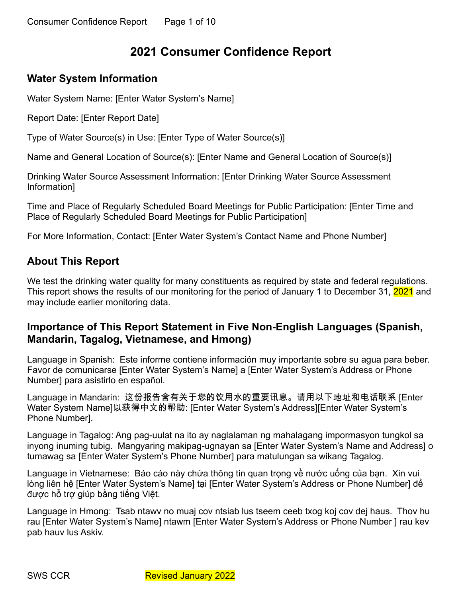# **2021 Consumer Confidence Report**

## **Water System Information**

Water System Name: [Enter Water System's Name]

Report Date: [Enter Report Date]

Type of Water Source(s) in Use: [Enter Type of Water Source(s)]

Name and General Location of Source(s): [Enter Name and General Location of Source(s)]

Drinking Water Source Assessment Information: [Enter Drinking Water Source Assessment Information]

Time and Place of Regularly Scheduled Board Meetings for Public Participation: [Enter Time and Place of Regularly Scheduled Board Meetings for Public Participation]

For More Information, Contact: [Enter Water System's Contact Name and Phone Number]

## **About This Report**

We test the drinking water quality for many constituents as required by state and federal regulations. This report shows the results of our monitoring for the period of January 1 to December 31, 2021 and may include earlier monitoring data.

## **Importance of This Report Statement in Five Non-English Languages (Spanish, Mandarin, Tagalog, Vietnamese, and Hmong)**

Language in Spanish: Este informe contiene información muy importante sobre su agua para beber. Favor de comunicarse [Enter Water System's Name] a [Enter Water System's Address or Phone Number] para asistirlo en español.

Language in Mandarin: 这份报告含有关于您的饮用水的重要讯息。请用以下地址和电话联系 [Enter Water System Name]以获得中文的帮助: [Enter Water System's Address][Enter Water System's Phone Number].

Language in Tagalog: Ang pag-uulat na ito ay naglalaman ng mahalagang impormasyon tungkol sa inyong inuming tubig. Mangyaring makipag-ugnayan sa [Enter Water System's Name and Address] o tumawag sa [Enter Water System's Phone Number] para matulungan sa wikang Tagalog.

Language in Vietnamese: Báo cáo này chứa thông tin quan trong về nước uống của ban. Xin vui lòng liên hệ [Enter Water System's Name] tại [Enter Water System's Address or Phone Number] để được hỗ trợ giúp bằng tiếng Việt.

Language in Hmong: Tsab ntawv no muaj cov ntsiab lus tseem ceeb txog koj cov dej haus. Thov hu rau [Enter Water System's Name] ntawm [Enter Water System's Address or Phone Number ] rau kev pab hauv lus Askiv.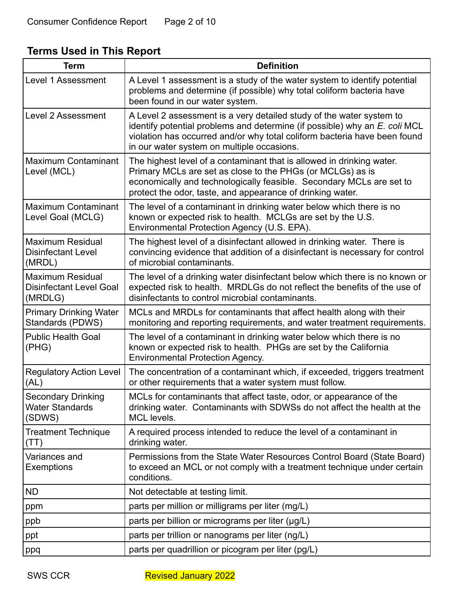# **Terms Used in This Report**

| <b>Term</b>                                                          | <b>Definition</b>                                                                                                                                                                                                                                                             |
|----------------------------------------------------------------------|-------------------------------------------------------------------------------------------------------------------------------------------------------------------------------------------------------------------------------------------------------------------------------|
| <b>Level 1 Assessment</b>                                            | A Level 1 assessment is a study of the water system to identify potential<br>problems and determine (if possible) why total coliform bacteria have<br>been found in our water system.                                                                                         |
| Level 2 Assessment                                                   | A Level 2 assessment is a very detailed study of the water system to<br>identify potential problems and determine (if possible) why an E. coli MCL<br>violation has occurred and/or why total coliform bacteria have been found<br>in our water system on multiple occasions. |
| Maximum Contaminant<br>Level (MCL)                                   | The highest level of a contaminant that is allowed in drinking water.<br>Primary MCLs are set as close to the PHGs (or MCLGs) as is<br>economically and technologically feasible. Secondary MCLs are set to<br>protect the odor, taste, and appearance of drinking water.     |
| Maximum Contaminant<br>Level Goal (MCLG)                             | The level of a contaminant in drinking water below which there is no<br>known or expected risk to health. MCLGs are set by the U.S.<br>Environmental Protection Agency (U.S. EPA).                                                                                            |
| Maximum Residual<br><b>Disinfectant Level</b><br>(MRDL)              | The highest level of a disinfectant allowed in drinking water. There is<br>convincing evidence that addition of a disinfectant is necessary for control<br>of microbial contaminants.                                                                                         |
| <b>Maximum Residual</b><br><b>Disinfectant Level Goal</b><br>(MRDLG) | The level of a drinking water disinfectant below which there is no known or<br>expected risk to health. MRDLGs do not reflect the benefits of the use of<br>disinfectants to control microbial contaminants.                                                                  |
| <b>Primary Drinking Water</b><br>Standards (PDWS)                    | MCLs and MRDLs for contaminants that affect health along with their<br>monitoring and reporting requirements, and water treatment requirements.                                                                                                                               |
| <b>Public Health Goal</b><br>(PHG)                                   | The level of a contaminant in drinking water below which there is no<br>known or expected risk to health. PHGs are set by the California<br><b>Environmental Protection Agency.</b>                                                                                           |
| <b>Regulatory Action Level</b><br>(AL)                               | The concentration of a contaminant which, if exceeded, triggers treatment<br>or other requirements that a water system must follow.                                                                                                                                           |
| <b>Secondary Drinking</b><br><b>Water Standards</b><br>(SDWS)        | MCLs for contaminants that affect taste, odor, or appearance of the<br>drinking water. Contaminants with SDWSs do not affect the health at the<br>MCL levels.                                                                                                                 |
| Treatment Technique<br>(TT)                                          | A required process intended to reduce the level of a contaminant in<br>drinking water.                                                                                                                                                                                        |
| Variances and<br>Exemptions                                          | Permissions from the State Water Resources Control Board (State Board)<br>to exceed an MCL or not comply with a treatment technique under certain<br>conditions.                                                                                                              |
| <b>ND</b>                                                            | Not detectable at testing limit.                                                                                                                                                                                                                                              |
| ppm                                                                  | parts per million or milligrams per liter (mg/L)                                                                                                                                                                                                                              |
| ppb                                                                  | parts per billion or micrograms per liter (µg/L)                                                                                                                                                                                                                              |
| ppt                                                                  | parts per trillion or nanograms per liter (ng/L)                                                                                                                                                                                                                              |
| ppq                                                                  | parts per quadrillion or picogram per liter (pg/L)                                                                                                                                                                                                                            |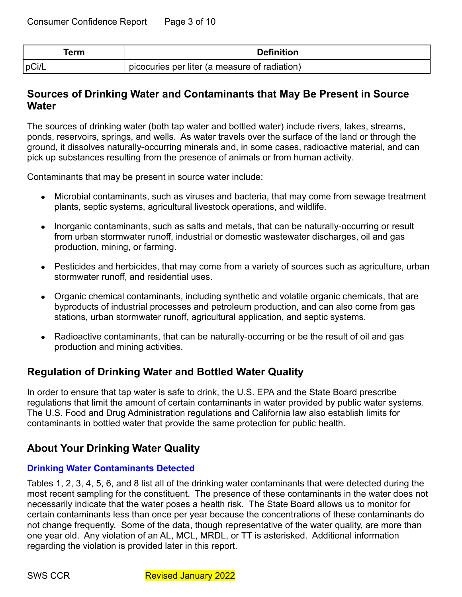| erm!  | <b>Definition</b>                             |
|-------|-----------------------------------------------|
| pCi/L | picocuries per liter (a measure of radiation) |

## **Sources of Drinking Water and Contaminants that May Be Present in Source Water**

The sources of drinking water (both tap water and bottled water) include rivers, lakes, streams, ponds, reservoirs, springs, and wells. As water travels over the surface of the land or through the ground, it dissolves naturally-occurring minerals and, in some cases, radioactive material, and can pick up substances resulting from the presence of animals or from human activity.

Contaminants that may be present in source water include:

- Microbial contaminants, such as viruses and bacteria, that may come from sewage treatment plants, septic systems, agricultural livestock operations, and wildlife.
- Inorganic contaminants, such as salts and metals, that can be naturally-occurring or result from urban stormwater runoff, industrial or domestic wastewater discharges, oil and gas production, mining, or farming.
- Pesticides and herbicides, that may come from a variety of sources such as agriculture, urban stormwater runoff, and residential uses.
- Organic chemical contaminants, including synthetic and volatile organic chemicals, that are byproducts of industrial processes and petroleum production, and can also come from gas stations, urban stormwater runoff, agricultural application, and septic systems.
- Radioactive contaminants, that can be naturally-occurring or be the result of oil and gas production and mining activities.

## **Regulation of Drinking Water and Bottled Water Quality**

In order to ensure that tap water is safe to drink, the U.S. EPA and the State Board prescribe regulations that limit the amount of certain contaminants in water provided by public water systems. The U.S. Food and Drug Administration regulations and California law also establish limits for contaminants in bottled water that provide the same protection for public health.

## **About Your Drinking Water Quality**

## **Drinking Water Contaminants Detected**

Tables 1, 2, 3, 4, 5, 6, and 8 list all of the drinking water contaminants that were detected during the most recent sampling for the constituent. The presence of these contaminants in the water does not necessarily indicate that the water poses a health risk. The State Board allows us to monitor for certain contaminants less than once per year because the concentrations of these contaminants do not change frequently. Some of the data, though representative of the water quality, are more than one year old. Any violation of an AL, MCL, MRDL, or TT is asterisked. Additional information regarding the violation is provided later in this report.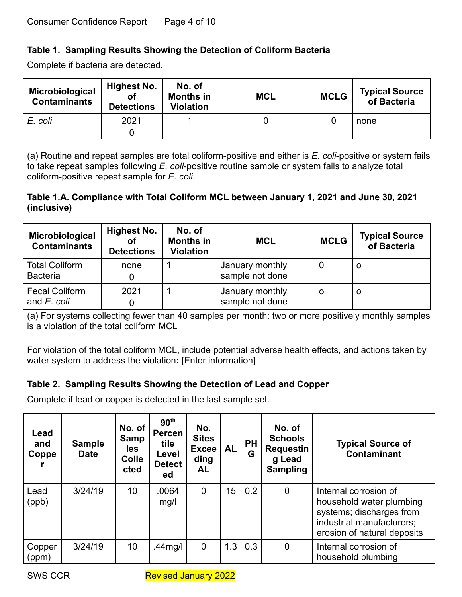## **Table 1. Sampling Results Showing the Detection of Coliform Bacteria**

Complete if bacteria are detected.

| Microbiological<br><b>Contaminants</b> | <b>Highest No.</b><br>οf<br><b>Detections</b> | No. of<br><b>Months in</b><br><b>Violation</b> | <b>MCL</b> | <b>MCLG</b> | <b>Typical Source</b><br>of Bacteria |
|----------------------------------------|-----------------------------------------------|------------------------------------------------|------------|-------------|--------------------------------------|
| E. coli                                | 2021                                          |                                                |            |             | none                                 |

(a) Routine and repeat samples are total coliform-positive and either is *E. coli*-positive or system fails to take repeat samples following *E. coli*-positive routine sample or system fails to analyze total coliform-positive repeat sample for *E. coli*.

### **Table 1.A. Compliance with Total Coliform MCL between January 1, 2021 and June 30, 2021 (inclusive)**

| Microbiological<br><b>Contaminants</b>   | Highest No.<br>οf<br><b>Detections</b> | No. of<br><b>Months in</b><br><b>Violation</b> | <b>MCL</b>                         | <b>MCLG</b> | <b>Typical Source</b><br>of Bacteria |
|------------------------------------------|----------------------------------------|------------------------------------------------|------------------------------------|-------------|--------------------------------------|
| <b>Total Coliform</b><br><b>Bacteria</b> | none                                   |                                                | January monthly<br>sample not done | U           | O                                    |
| <b>Fecal Coliform</b><br>and E. coli     | 2021                                   |                                                | January monthly<br>sample not done | O           | O                                    |

(a) For systems collecting fewer than 40 samples per month: two or more positively monthly samples is a violation of the total coliform MCL

For violation of the total coliform MCL, include potential adverse health effects, and actions taken by water system to address the violation**:** [Enter information]

## **Table 2. Sampling Results Showing the Detection of Lead and Copper**

Complete if lead or copper is detected in the last sample set.

| Lead<br>and<br>Coppe | <b>Sample</b><br><b>Date</b> | No. of<br>Samp<br>les<br><b>Colle</b><br>cted | 90 <sup>th</sup><br><b>Percen</b><br>tile<br>Level<br><b>Detect</b><br>ed | No.<br><b>Sites</b><br><b>Excee</b><br>ding<br><b>AL</b> | <b>AL</b> | <b>PH</b><br>G | No. of<br><b>Schools</b><br><b>Requestin</b><br>g Lead<br><b>Sampling</b> | <b>Typical Source of</b><br><b>Contaminant</b>                                                                                            |
|----------------------|------------------------------|-----------------------------------------------|---------------------------------------------------------------------------|----------------------------------------------------------|-----------|----------------|---------------------------------------------------------------------------|-------------------------------------------------------------------------------------------------------------------------------------------|
| Lead<br>(ppb)        | 3/24/19                      | 10 <sup>°</sup>                               | 0064<br>mg/l                                                              | $\overline{0}$                                           | 15        | 0.2            | $\overline{0}$                                                            | Internal corrosion of<br>household water plumbing<br>systems; discharges from<br>industrial manufacturers;<br>erosion of natural deposits |
| Copper<br>(ppm)      | 3/24/19                      | 10                                            | .44mg/l                                                                   | $\mathbf 0$                                              | 1.3       | 0.3            | $\mathbf 0$                                                               | Internal corrosion of<br>household plumbing                                                                                               |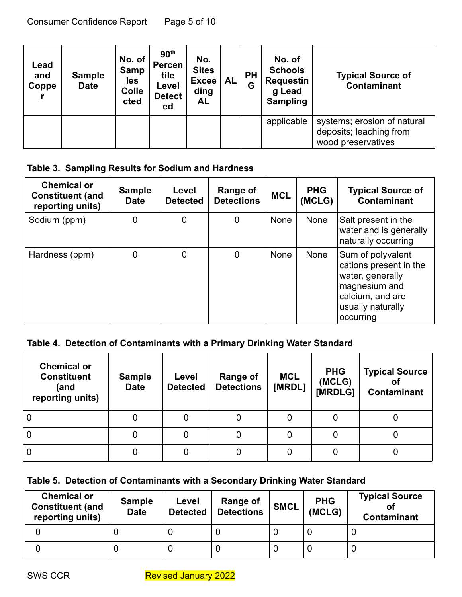| Lead<br>and<br>Coppe | <b>Sample</b><br><b>Date</b> | No. of<br><b>Samp</b><br>les<br><b>Colle</b><br>cted | 90 <sup>th</sup><br><b>Percen</b><br>tile<br>Level<br><b>Detect</b><br>ed | No.<br><b>Sites</b><br><b>Excee</b><br>ding<br><b>AL</b> | AL | <b>PH</b><br>Ġ | No. of<br><b>Schools</b><br><b>Requestin</b><br>g Lead<br><b>Sampling</b> | <b>Typical Source of</b><br><b>Contaminant</b>                               |
|----------------------|------------------------------|------------------------------------------------------|---------------------------------------------------------------------------|----------------------------------------------------------|----|----------------|---------------------------------------------------------------------------|------------------------------------------------------------------------------|
|                      |                              |                                                      |                                                                           |                                                          |    |                | applicable                                                                | systems; erosion of natural<br>deposits; leaching from<br>wood preservatives |

## **Table 3. Sampling Results for Sodium and Hardness**

| <b>Chemical or</b><br><b>Constituent (and</b><br>reporting units) | <b>Sample</b><br><b>Date</b> | Level<br><b>Detected</b> | Range of<br><b>Detections</b> | <b>MCL</b>  | <b>PHG</b><br>(MCLG) | <b>Typical Source of</b><br><b>Contaminant</b>                                                                                         |
|-------------------------------------------------------------------|------------------------------|--------------------------|-------------------------------|-------------|----------------------|----------------------------------------------------------------------------------------------------------------------------------------|
| Sodium (ppm)                                                      | 0                            | 0                        | 0                             | None        | None                 | Salt present in the<br>water and is generally<br>naturally occurring                                                                   |
| Hardness (ppm)                                                    | 0                            | $\mathbf 0$              | 0                             | <b>None</b> | None                 | Sum of polyvalent<br>cations present in the<br>water, generally<br>magnesium and<br>calcium, and are<br>usually naturally<br>occurring |

## **Table 4. Detection of Contaminants with a Primary Drinking Water Standard**

| <b>Chemical or</b><br><b>Constituent</b><br>(and<br>reporting units) | <b>Sample</b><br><b>Date</b> | Level<br><b>Detected</b> | <b>Range of</b><br><b>Detections</b> | <b>MCL</b><br>[MRDL] | <b>PHG</b><br>(MCLG)<br>[MRDLG] | <b>Typical Source</b><br>Οī<br>Contaminant |
|----------------------------------------------------------------------|------------------------------|--------------------------|--------------------------------------|----------------------|---------------------------------|--------------------------------------------|
| 0                                                                    | U                            |                          |                                      |                      |                                 |                                            |
| 0                                                                    | U                            |                          |                                      |                      |                                 |                                            |
|                                                                      |                              |                          |                                      |                      |                                 |                                            |

## **Table 5. Detection of Contaminants with a Secondary Drinking Water Standard**

| <b>Chemical or</b><br><b>Constituent (and</b><br>reporting units) | <b>Sample</b><br><b>Date</b> | Level<br><b>Detected</b> | <b>Range of</b><br><b>Detections</b> | <b>SMCL</b> | <b>PHG</b><br>(MCLG) | <b>Typical Source</b><br><b>Contaminant</b> |
|-------------------------------------------------------------------|------------------------------|--------------------------|--------------------------------------|-------------|----------------------|---------------------------------------------|
|                                                                   |                              |                          |                                      |             |                      |                                             |
|                                                                   |                              |                          |                                      |             |                      |                                             |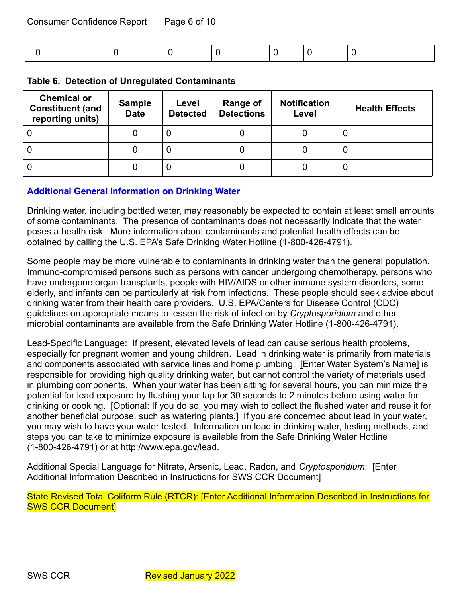| <b>Chemical or</b><br><b>Constituent (and</b><br>reporting units) | <b>Sample</b><br><b>Date</b> | Level<br><b>Detected</b> | Range of<br><b>Detections</b> |  | <b>Health Effects</b> |
|-------------------------------------------------------------------|------------------------------|--------------------------|-------------------------------|--|-----------------------|
|                                                                   | 0                            | 0                        |                               |  |                       |
| 0                                                                 | υ                            | U                        |                               |  |                       |
|                                                                   | 0                            | 0                        |                               |  |                       |

#### **Table 6. Detection of Unregulated Contaminants**

#### **Additional General Information on Drinking Water**

Drinking water, including bottled water, may reasonably be expected to contain at least small amounts of some contaminants. The presence of contaminants does not necessarily indicate that the water poses a health risk. More information about contaminants and potential health effects can be obtained by calling the U.S. EPA's Safe Drinking Water Hotline (1-800-426-4791).

Some people may be more vulnerable to contaminants in drinking water than the general population. Immuno-compromised persons such as persons with cancer undergoing chemotherapy, persons who have undergone organ transplants, people with HIV/AIDS or other immune system disorders, some elderly, and infants can be particularly at risk from infections. These people should seek advice about drinking water from their health care providers. U.S. EPA/Centers for Disease Control (CDC) guidelines on appropriate means to lessen the risk of infection by *Cryptosporidium* and other microbial contaminants are available from the Safe Drinking Water Hotline (1-800-426-4791).

Lead-Specific Language: If present, elevated levels of lead can cause serious health problems, especially for pregnant women and young children. Lead in drinking water is primarily from materials and components associated with service lines and home plumbing. [Enter Water System's Name] is responsible for providing high quality drinking water, but cannot control the variety of materials used in plumbing components. When your water has been sitting for several hours, you can minimize the potential for lead exposure by flushing your tap for 30 seconds to 2 minutes before using water for drinking or cooking. [Optional: If you do so, you may wish to collect the flushed water and reuse it for another beneficial purpose, such as watering plants.] If you are concerned about lead in your water, you may wish to have your water tested. Information on lead in drinking water, testing methods, and steps you can take to minimize exposure is available from the Safe Drinking Water Hotline (1-800-426-4791) or at <http://www.epa.gov/lead>.

Additional Special Language for Nitrate, Arsenic, Lead, Radon, and *Cryptosporidium*: [Enter Additional Information Described in Instructions for SWS CCR Document]

State Revised Total Coliform Rule (RTCR): [Enter Additional Information Described in Instructions for SWS CCR Document]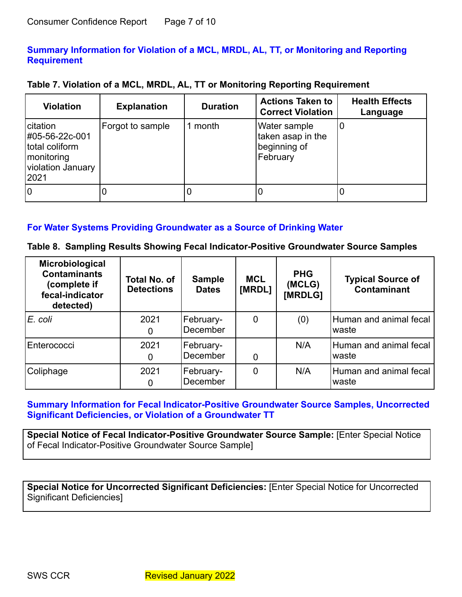### **Summary Information for Violation of a MCL, MRDL, AL, TT, or Monitoring and Reporting Requirement**

|  | Table 7. Violation of a MCL, MRDL, AL, TT or Monitoring Reporting Requirement |
|--|-------------------------------------------------------------------------------|
|--|-------------------------------------------------------------------------------|

| <b>Violation</b>                                                                                  | <b>Explanation</b> | <b>Duration</b> | <b>Actions Taken to</b><br><b>Correct Violation</b>                  | <b>Health Effects</b><br>Language |
|---------------------------------------------------------------------------------------------------|--------------------|-----------------|----------------------------------------------------------------------|-----------------------------------|
| <b>citation</b><br>#05-56-22c-001<br>total coliform<br>  monitoring<br>violation January<br> 2021 | Forgot to sample   | month           | <b>Water sample</b><br>taken asap in the<br>beginning of<br>February |                                   |
| ١o                                                                                                |                    | U               |                                                                      |                                   |

#### **For Water Systems Providing Groundwater as a Source of Drinking Water**

| Table 8. Sampling Results Showing Fecal Indicator-Positive Groundwater Source Samples |  |  |  |  |  |  |  |  |
|---------------------------------------------------------------------------------------|--|--|--|--|--|--|--|--|
|---------------------------------------------------------------------------------------|--|--|--|--|--|--|--|--|

| Microbiological<br><b>Contaminants</b><br>(complete if<br>fecal-indicator<br>detected) | <b>Total No. of</b><br><b>Detections</b> | <b>Sample</b><br><b>Dates</b> | <b>MCL</b><br>[MRDL] | <b>PHG</b><br>(MCLG)<br>[MRDLG] | <b>Typical Source of</b><br><b>Contaminant</b> |
|----------------------------------------------------------------------------------------|------------------------------------------|-------------------------------|----------------------|---------------------------------|------------------------------------------------|
| IE. coli                                                                               | 2021<br>O                                | February-<br>December         | 0                    | (0)                             | Human and animal fecal<br>waste                |
| Enterococci                                                                            | 2021<br>0                                | February-<br>December         | 0                    | N/A                             | Human and animal fecal<br>waste                |
| Coliphage                                                                              | 2021<br>0                                | February-<br>December         | 0                    | N/A                             | Human and animal fecal<br>waste                |

## **Summary Information for Fecal Indicator-Positive Groundwater Source Samples, Uncorrected Significant Deficiencies, or Violation of a Groundwater TT**

**Special Notice of Fecal Indicator-Positive Groundwater Source Sample:** [Enter Special Notice of Fecal Indicator-Positive Groundwater Source Sample]

**Special Notice for Uncorrected Significant Deficiencies:** [Enter Special Notice for Uncorrected Significant Deficiencies]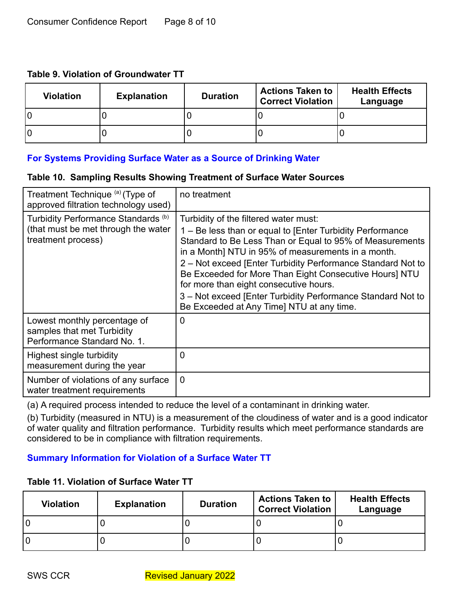#### **Table 9. Violation of Groundwater TT**

| <b>Violation</b> | <b>Explanation</b> | <b>Duration</b> | <b>Actions Taken to</b><br><b>Correct Violation</b> | <b>Health Effects</b><br>Language |
|------------------|--------------------|-----------------|-----------------------------------------------------|-----------------------------------|
| l0               |                    |                 |                                                     |                                   |
| l0               |                    |                 |                                                     |                                   |

## **For Systems Providing Surface Water as a Source of Drinking Water**

#### **Table 10. Sampling Results Showing Treatment of Surface Water Sources**

| Treatment Technique (a) (Type of<br>approved filtration technology used)                                    | no treatment                                                                                                                                                                                                                                                                                                                                                                                                                                                                                        |
|-------------------------------------------------------------------------------------------------------------|-----------------------------------------------------------------------------------------------------------------------------------------------------------------------------------------------------------------------------------------------------------------------------------------------------------------------------------------------------------------------------------------------------------------------------------------------------------------------------------------------------|
| Turbidity Performance Standards <sup>(b)</sup><br>(that must be met through the water<br>treatment process) | Turbidity of the filtered water must:<br>1 – Be less than or equal to [Enter Turbidity Performance<br>Standard to Be Less Than or Equal to 95% of Measurements<br>in a Month] NTU in 95% of measurements in a month.<br>2 – Not exceed [Enter Turbidity Performance Standard Not to<br>Be Exceeded for More Than Eight Consecutive Hours] NTU<br>for more than eight consecutive hours.<br>3 - Not exceed [Enter Turbidity Performance Standard Not to<br>Be Exceeded at Any Time] NTU at any time. |
| Lowest monthly percentage of<br>samples that met Turbidity<br>Performance Standard No. 1.                   | $\mathbf 0$                                                                                                                                                                                                                                                                                                                                                                                                                                                                                         |
| Highest single turbidity<br>measurement during the year                                                     | 0                                                                                                                                                                                                                                                                                                                                                                                                                                                                                                   |
| Number of violations of any surface<br>water treatment requirements                                         | $\mathbf 0$                                                                                                                                                                                                                                                                                                                                                                                                                                                                                         |

(a) A required process intended to reduce the level of a contaminant in drinking water.

(b) Turbidity (measured in NTU) is a measurement of the cloudiness of water and is a good indicator of water quality and filtration performance. Turbidity results which meet performance standards are considered to be in compliance with filtration requirements.

## **Summary Information for Violation of a Surface Water TT**

## **Table 11. Violation of Surface Water TT**

| <b>Violation</b> | <b>Explanation</b> | <b>Duration</b> | <b>Actions Taken to</b><br><b>Correct Violation</b> | <b>Health Effects</b><br>Language |
|------------------|--------------------|-----------------|-----------------------------------------------------|-----------------------------------|
| l O              |                    |                 |                                                     |                                   |
| l O              |                    |                 |                                                     |                                   |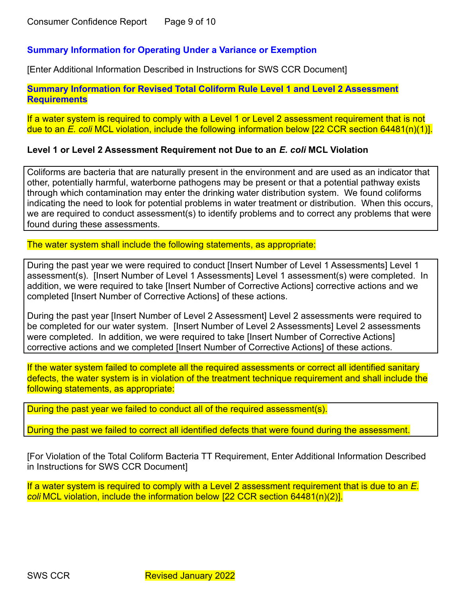#### **Summary Information for Operating Under a Variance or Exemption**

[Enter Additional Information Described in Instructions for SWS CCR Document]

**Summary Information for Revised Total Coliform Rule Level 1 and Level 2 Assessment Requirements**

If a water system is required to comply with a Level 1 or Level 2 assessment requirement that is not due to an *E. coli* MCL violation, include the following information below [22 CCR section 64481(n)(1)].

#### **Level 1 or Level 2 Assessment Requirement not Due to an** *E. coli* **MCL Violation**

Coliforms are bacteria that are naturally present in the environment and are used as an indicator that other, potentially harmful, waterborne pathogens may be present or that a potential pathway exists through which contamination may enter the drinking water distribution system. We found coliforms indicating the need to look for potential problems in water treatment or distribution. When this occurs, we are required to conduct assessment(s) to identify problems and to correct any problems that were found during these assessments.

The water system shall include the following statements, as appropriate:

During the past year we were required to conduct [Insert Number of Level 1 Assessments] Level 1 assessment(s). [Insert Number of Level 1 Assessments] Level 1 assessment(s) were completed. In addition, we were required to take [Insert Number of Corrective Actions] corrective actions and we completed [Insert Number of Corrective Actions] of these actions.

During the past year [Insert Number of Level 2 Assessment] Level 2 assessments were required to be completed for our water system. [Insert Number of Level 2 Assessments] Level 2 assessments were completed. In addition, we were required to take [Insert Number of Corrective Actions] corrective actions and we completed [Insert Number of Corrective Actions] of these actions.

If the water system failed to complete all the required assessments or correct all identified sanitary defects, the water system is in violation of the treatment technique requirement and shall include the following statements, as appropriate:

During the past year we failed to conduct all of the required assessment(s).

During the past we failed to correct all identified defects that were found during the assessment.

[For Violation of the Total Coliform Bacteria TT Requirement, Enter Additional Information Described in Instructions for SWS CCR Document]

If a water system is required to comply with a Level 2 assessment requirement that is due to an *E. coli* MCL violation, include the information below [22 CCR section 64481(n)(2)].

SWS CCR Revised January 2022